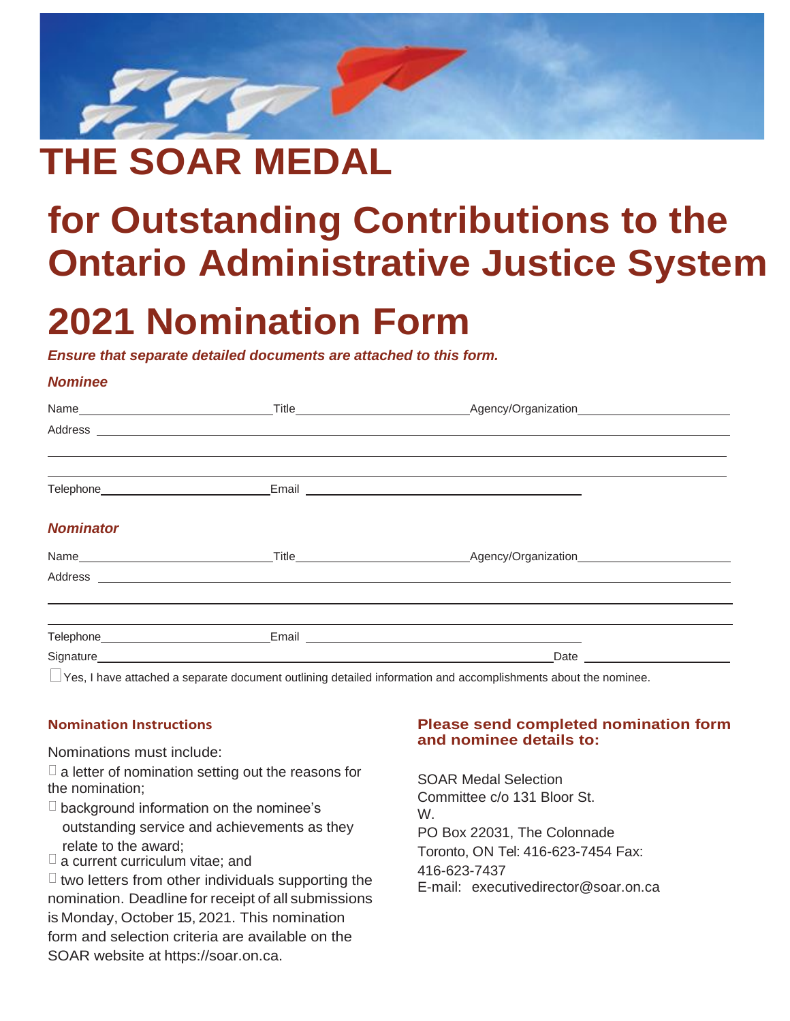

# **THE SOAR MEDAL**

# **for Outstanding Contributions to the Ontario Administrative Justice System**

# **2021 Nomination Form**

#### *Ensure that separate detailed documents are attached to this form.*

### *Nominee*

|                                                   | Address experience and a series of the series of the series of the series of the series of the series of the series of the series of the series of the series of the series of the series of the series of the series of the s       |  |
|---------------------------------------------------|--------------------------------------------------------------------------------------------------------------------------------------------------------------------------------------------------------------------------------------|--|
|                                                   |                                                                                                                                                                                                                                      |  |
|                                                   |                                                                                                                                                                                                                                      |  |
| <b>Nominator</b>                                  |                                                                                                                                                                                                                                      |  |
| Name <b>________________________________</b> ____ |                                                                                                                                                                                                                                      |  |
|                                                   | Address <b>contract and a series of the contract of the contract of the contract of the contract of the contract of the contract of the contract of the contract of the contract of the contract of the contract of the contract</b> |  |
|                                                   |                                                                                                                                                                                                                                      |  |
|                                                   |                                                                                                                                                                                                                                      |  |
| Signature                                         | Date                                                                                                                                                                                                                                 |  |

Yes, I have attached a separate document outlining detailed information and accomplishments about the nominee.

### **Nomination Instructions**

Nominations must include:

 $\Box$  a letter of nomination setting out the reasons for the nomination;

- $\Box$  background information on the nominee's outstanding service and achievements as they relate to the award;
- $\sqcup$  a current curriculum vitae; and

 $\Box$  two letters from other individuals supporting the nomination. Deadline for receipt of all submissions is Monday, October 15, 2021. This nomination form and selection criteria are available on the SOAR website at https://soar.on.ca.

### **Please send completed nomination form and nominee details to:**

SOAR Medal Selection Committee c/o 131 Bloor St. W. PO Box 22031, The Colonnade Toronto, ON Tel: 416-623-7454 Fax: 416-623-7437 E-mail: [executivedirector@soar.on.ca](mailto:executivedirector@soar.on.ca)